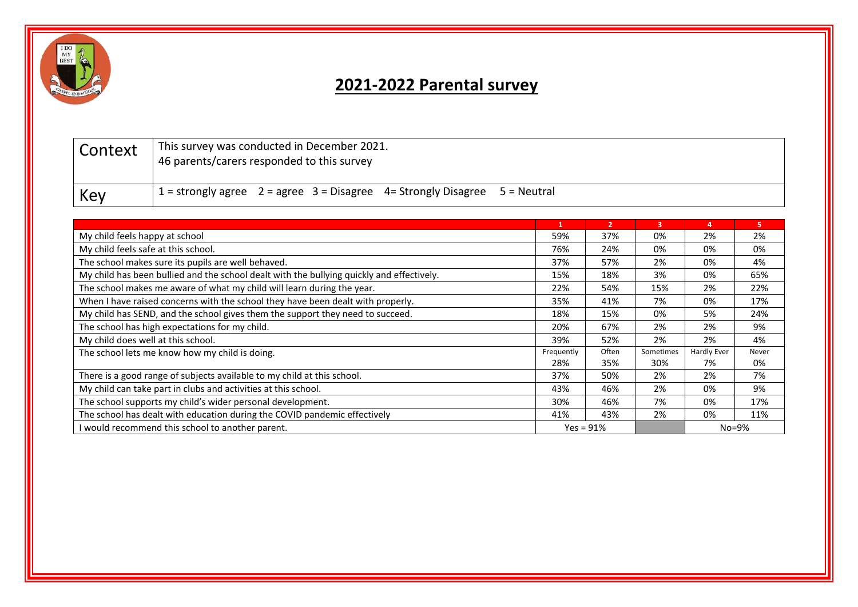

## **2021-2022 Parental survey**

| Context | This survey was conducted in December 2021.<br>46 parents/carers responded to this survey |
|---------|-------------------------------------------------------------------------------------------|
| Key     | $1 =$ strongly agree $2 =$ agree $3 =$ Disagree $4 =$ Strongly Disagree $5 =$ Neutral     |

|                                                                                           | 1   | $\overline{2}$ | 3         | $\overline{a}$ | 5.    |
|-------------------------------------------------------------------------------------------|-----|----------------|-----------|----------------|-------|
| My child feels happy at school                                                            |     | 37%            | 0%        | 2%             | 2%    |
| My child feels safe at this school.                                                       |     | 24%            | 0%        | 0%             | 0%    |
| The school makes sure its pupils are well behaved.                                        |     | 57%            | 2%        | 0%             | 4%    |
| My child has been bullied and the school dealt with the bullying quickly and effectively. |     | 18%            | 3%        | 0%             | 65%   |
| The school makes me aware of what my child will learn during the year.                    |     | 54%            | 15%       | 2%             | 22%   |
| When I have raised concerns with the school they have been dealt with properly.           |     | 41%            | 7%        | 0%             | 17%   |
| My child has SEND, and the school gives them the support they need to succeed.            |     | 15%            | 0%        | 5%             | 24%   |
| The school has high expectations for my child.                                            |     | 67%            | 2%        | 2%             | 9%    |
| My child does well at this school.                                                        |     | 52%            | 2%        | 2%             | 4%    |
| The school lets me know how my child is doing.                                            |     | Often          | Sometimes | Hardly Ever    | Never |
|                                                                                           | 28% | 35%            | 30%       | 7%             | 0%    |
| There is a good range of subjects available to my child at this school.                   |     | 50%            | 2%        | 2%             | 7%    |
| My child can take part in clubs and activities at this school.                            |     | 46%            | 2%        | 0%             | 9%    |
| The school supports my child's wider personal development.                                |     | 46%            | 7%        | 0%             | 17%   |
| The school has dealt with education during the COVID pandemic effectively                 |     | 43%            | 2%        | 0%             | 11%   |
| I would recommend this school to another parent.                                          |     | $Yes = 91%$    |           | $No=9\%$       |       |